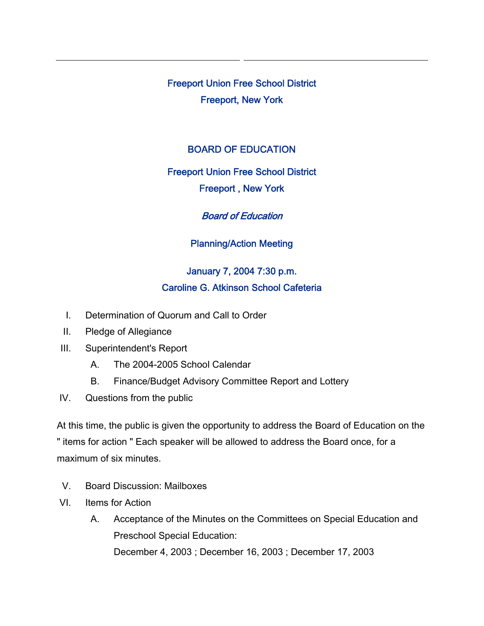Freeport Union Free School District Freeport, New York

#### BOARD OF EDUCATION

### Freeport Union Free School District

Freeport , New York

Board of Education

Planning/Action Meeting

# January 7, 2004 7:30 p.m. Caroline G. Atkinson School Cafeteria

- I. Determination of Quorum and Call to Order
- II. Pledge of Allegiance
- III. Superintendent's Report
	- A. The 2004-2005 School Calendar
	- B. Finance/Budget Advisory Committee Report and Lottery
- IV. Questions from the public

At this time, the public is given the opportunity to address the Board of Education on the " items for action " Each speaker will be allowed to address the Board once, for a maximum of six minutes.

- V. Board Discussion: Mailboxes
- VI. Items for Action
	- A. Acceptance of the Minutes on the Committees on Special Education and Preschool Special Education: December 4, 2003 ; December 16, 2003 ; December 17, 2003